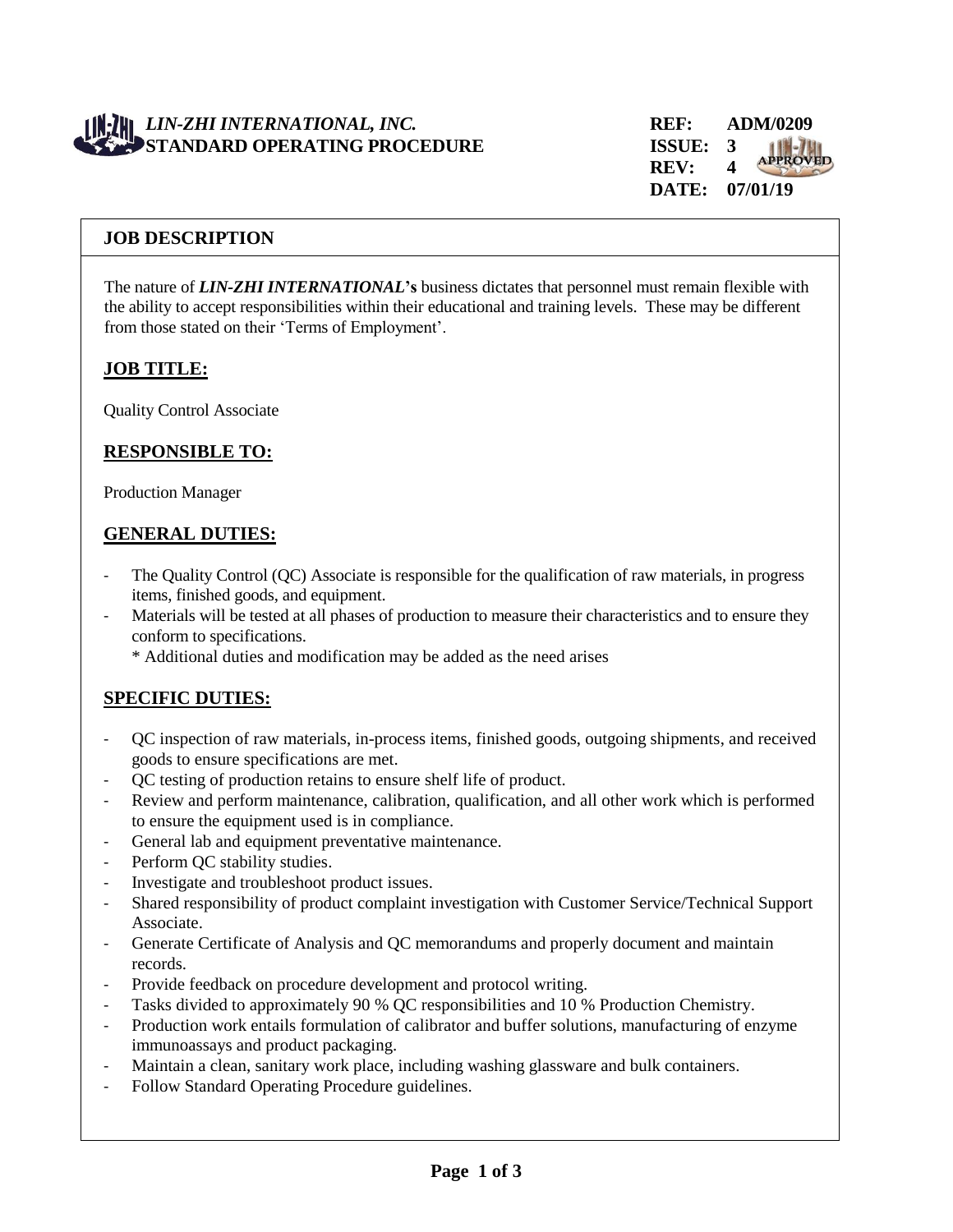# *LIN-ZHI INTERNATIONAL, INC.* **REF: ADM/0209 STANDARD OPERATING PROCEDURE ISSUE: 3**



### **JOB DESCRIPTION**

The nature of *LIN-ZHI INTERNATIONAL***'s** business dictates that personnel must remain flexible with the ability to accept responsibilities within their educational and training levels. These may be different from those stated on their 'Terms of Employment'.

### **JOB TITLE:**

Quality Control Associate

## **RESPONSIBLE TO:**

Production Manager

### **GENERAL DUTIES:**

- The Quality Control (QC) Associate is responsible for the qualification of raw materials, in progress items, finished goods, and equipment.
- Materials will be tested at all phases of production to measure their characteristics and to ensure they conform to specifications.
	- \* Additional duties and modification may be added as the need arises

# **SPECIFIC DUTIES:**

- QC inspection of raw materials, in-process items, finished goods, outgoing shipments, and received goods to ensure specifications are met.
- QC testing of production retains to ensure shelf life of product.
- Review and perform maintenance, calibration, qualification, and all other work which is performed to ensure the equipment used is in compliance.
- General lab and equipment preventative maintenance.
- Perform QC stability studies.
- Investigate and troubleshoot product issues.
- Shared responsibility of product complaint investigation with Customer Service/Technical Support Associate.
- Generate Certificate of Analysis and QC memorandums and properly document and maintain records.
- Provide feedback on procedure development and protocol writing.
- Tasks divided to approximately 90 % QC responsibilities and 10 % Production Chemistry.
- Production work entails formulation of calibrator and buffer solutions, manufacturing of enzyme immunoassays and product packaging.
- Maintain a clean, sanitary work place, including washing glassware and bulk containers.
- Follow Standard Operating Procedure guidelines.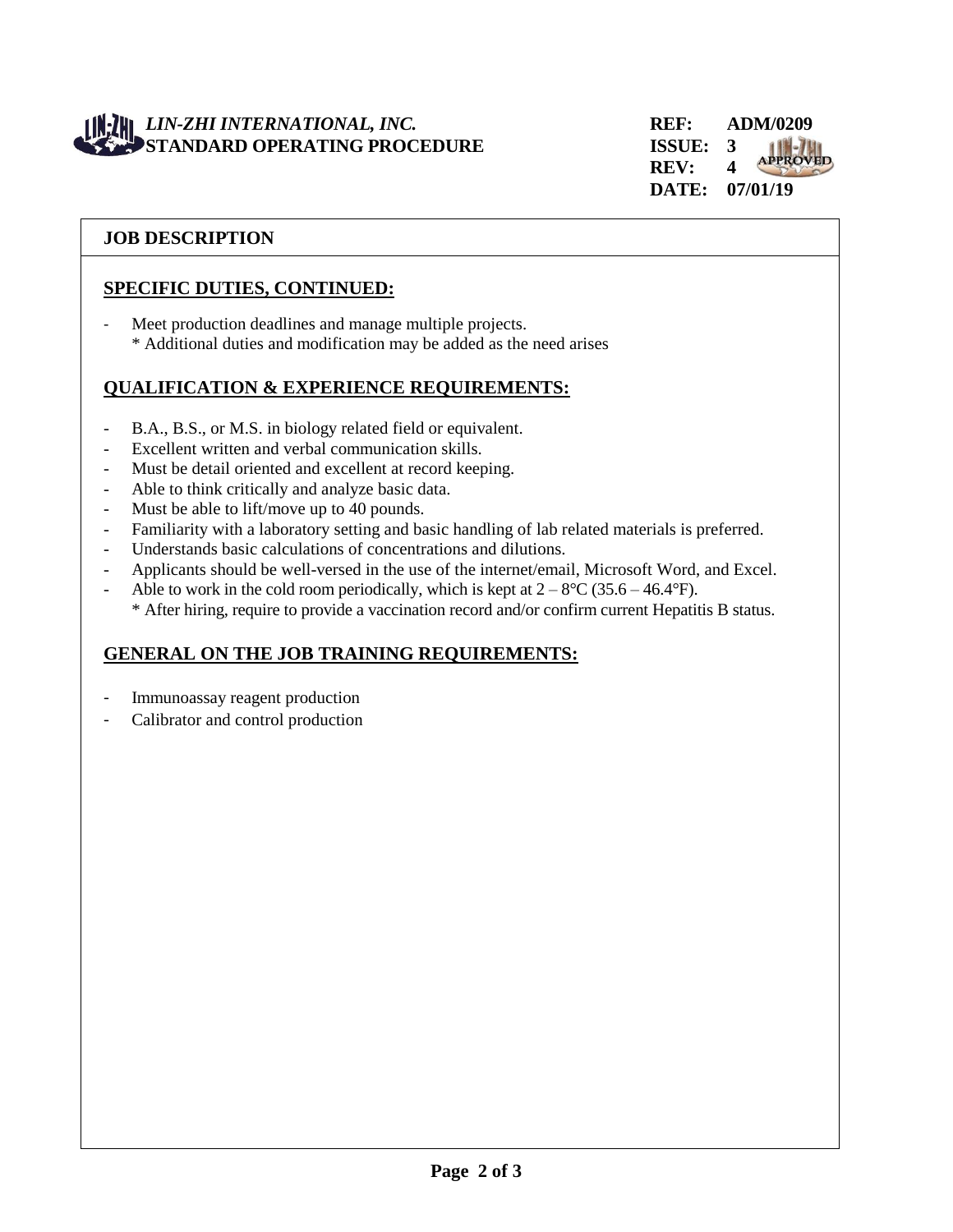# *LIN-ZHI INTERNATIONAL, INC.* **REF: ADM/0209 STANDARD OPERATING PROCEDURE ISSUE: 3**

## **JOB DESCRIPTION**

# **SPECIFIC DUTIES, CONTINUED:**

- Meet production deadlines and manage multiple projects. \* Additional duties and modification may be added as the need arises

## **QUALIFICATION & EXPERIENCE REQUIREMENTS:**

- B.A., B.S., or M.S. in biology related field or equivalent.
- Excellent written and verbal communication skills.
- Must be detail oriented and excellent at record keeping.
- Able to think critically and analyze basic data.
- Must be able to lift/move up to 40 pounds.
- Familiarity with a laboratory setting and basic handling of lab related materials is preferred.
- Understands basic calculations of concentrations and dilutions.
- Applicants should be well-versed in the use of the internet/email, Microsoft Word, and Excel.
- Able to work in the cold room periodically, which is kept at  $2 8$ °C (35.6 46.4°F). \* After hiring, require to provide a vaccination record and/or confirm current Hepatitis B status.

# **GENERAL ON THE JOB TRAINING REQUIREMENTS:**

- Immunoassay reagent production
- Calibrator and control production